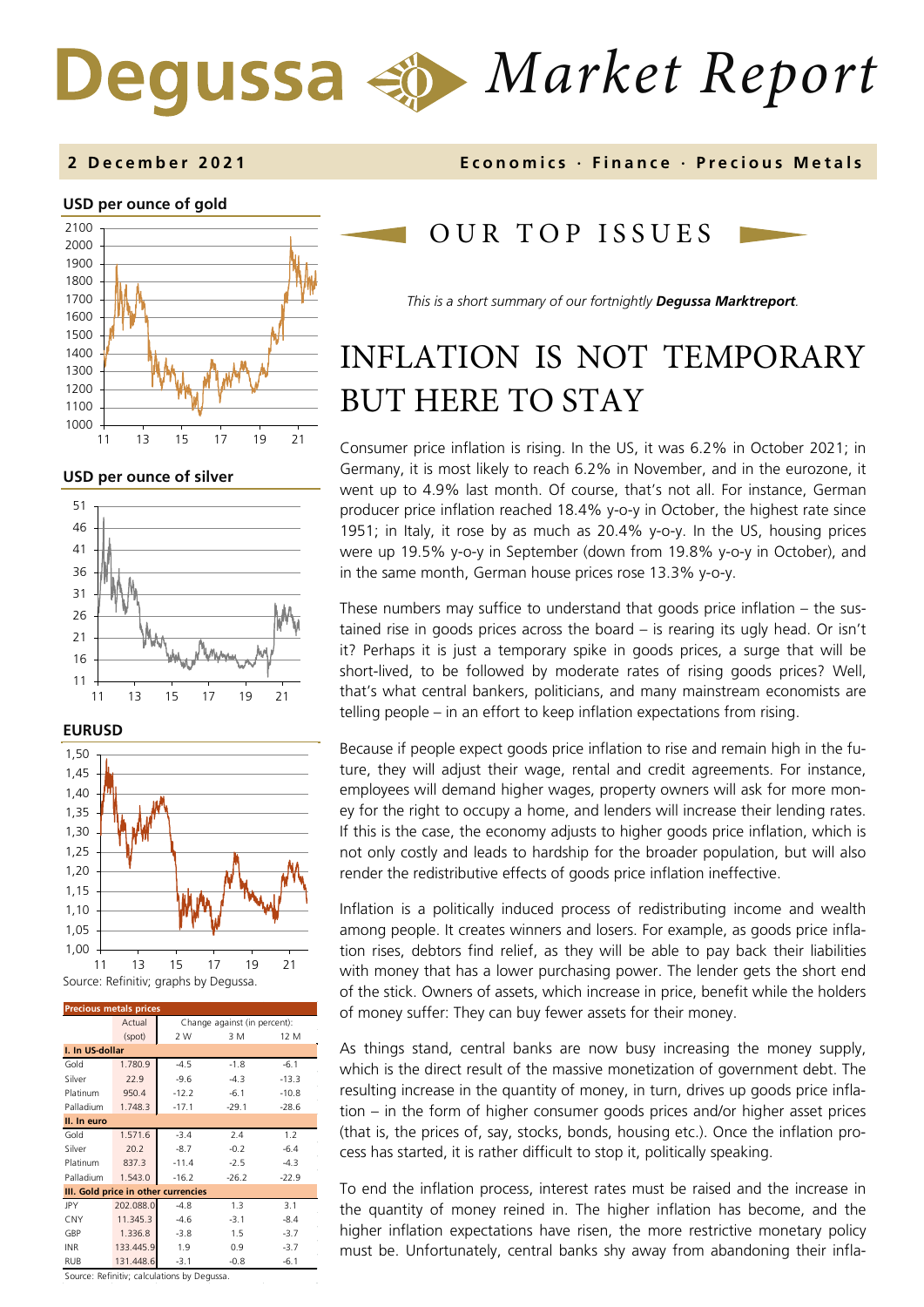# *Market Report*

### **2 December 202 1 Economics · Finance · Precious Metals**

#### **USD per ounce of gold**



#### **USD per ounce of silver**





| <b>Precious metals prices</b>       |           |                              |         |         |  |  |
|-------------------------------------|-----------|------------------------------|---------|---------|--|--|
|                                     | Actual    | Change against (in percent): |         |         |  |  |
|                                     | (spot)    | 2 W                          | 3 M     | 12 M    |  |  |
| I. In US-dollar                     |           |                              |         |         |  |  |
| Gold                                | 1.780.9   | $-4.5$                       | $-1.8$  | $-6.1$  |  |  |
| Silver                              | 22.9      | $-9.6$                       | $-4.3$  | $-13.3$ |  |  |
| Platinum                            | 950.4     | $-12.2$                      | $-6.1$  | $-10.8$ |  |  |
| Palladium                           | 1.748.3   | $-17.1$                      | $-29.1$ | $-28.6$ |  |  |
| II. In euro                         |           |                              |         |         |  |  |
| Gold                                | 1.571.6   | $-3.4$                       | 2.4     | 1.2     |  |  |
| Silver                              | 20.2      | $-8.7$                       | $-0.2$  | $-6.4$  |  |  |
| Platinum                            | 837.3     | $-11.4$                      | $-2.5$  | $-4.3$  |  |  |
| Palladium                           | 1.543.0   | $-16.2$                      | $-26.2$ | $-22.9$ |  |  |
| III. Gold price in other currencies |           |                              |         |         |  |  |
| JPY                                 | 202.088.0 | $-4.8$                       | 1.3     | 3.1     |  |  |
| CNY                                 | 11.345.3  | $-4.6$                       | $-3.1$  | $-8.4$  |  |  |
| GBP                                 | 1.336.8   | $-3.8$                       | 1.5     | $-3.7$  |  |  |
| <b>INR</b>                          | 133.445.9 | 1.9                          | 0.9     | $-3.7$  |  |  |
| <b>RUB</b>                          | 131.448.6 | $-3.1$                       | $-0.8$  | $-6.1$  |  |  |

Source: Refinitiv; calculations by Degussa.

## OUR TOP ISSUE S

*This is a short summary of our fortnightly Degussa Marktreport.*

## INFLATION IS NOT TEMPORARY BUT HERE TO STAY

Consumer price inflation is rising. In the US, it was 6.2% in October 2021; in Germany, it is most likely to reach 6.2% in November, and in the eurozone, it went up to 4.9% last month. Of course, that's not all. For instance, German producer price inflation reached 18.4% y-o-y in October, the highest rate since 1951; in Italy, it rose by as much as 20.4% y-o-y. In the US, housing prices were up 19.5% y-o-y in September (down from 19.8% y-o-y in October), and in the same month, German house prices rose 13.3% y-o-y.

These numbers may suffice to understand that goods price inflation – the sustained rise in goods prices across the board – is rearing its ugly head. Or isn't it? Perhaps it is just a temporary spike in goods prices, a surge that will be short-lived, to be followed by moderate rates of rising goods prices? Well, that's what central bankers, politicians, and many mainstream economists are telling people – in an effort to keep inflation expectations from rising.

Because if people expect goods price inflation to rise and remain high in the future, they will adjust their wage, rental and credit agreements. For instance, employees will demand higher wages, property owners will ask for more money for the right to occupy a home, and lenders will increase their lending rates. If this is the case, the economy adjusts to higher goods price inflation, which is not only costly and leads to hardship for the broader population, but will also render the redistributive effects of goods price inflation ineffective.

Inflation is a politically induced process of redistributing income and wealth among people. It creates winners and losers. For example, as goods price inflation rises, debtors find relief, as they will be able to pay back their liabilities with money that has a lower purchasing power. The lender gets the short end of the stick. Owners of assets, which increase in price, benefit while the holders of money suffer: They can buy fewer assets for their money.

As things stand, central banks are now busy increasing the money supply, which is the direct result of the massive monetization of government debt. The resulting increase in the quantity of money, in turn, drives up goods price inflation – in the form of higher consumer goods prices and/or higher asset prices (that is, the prices of, say, stocks, bonds, housing etc.). Once the inflation process has started, it is rather difficult to stop it, politically speaking.

To end the inflation process, interest rates must be raised and the increase in the quantity of money reined in. The higher inflation has become, and the higher inflation expectations have risen, the more restrictive monetary policy must be. Unfortunately, central banks shy away from abandoning their infla-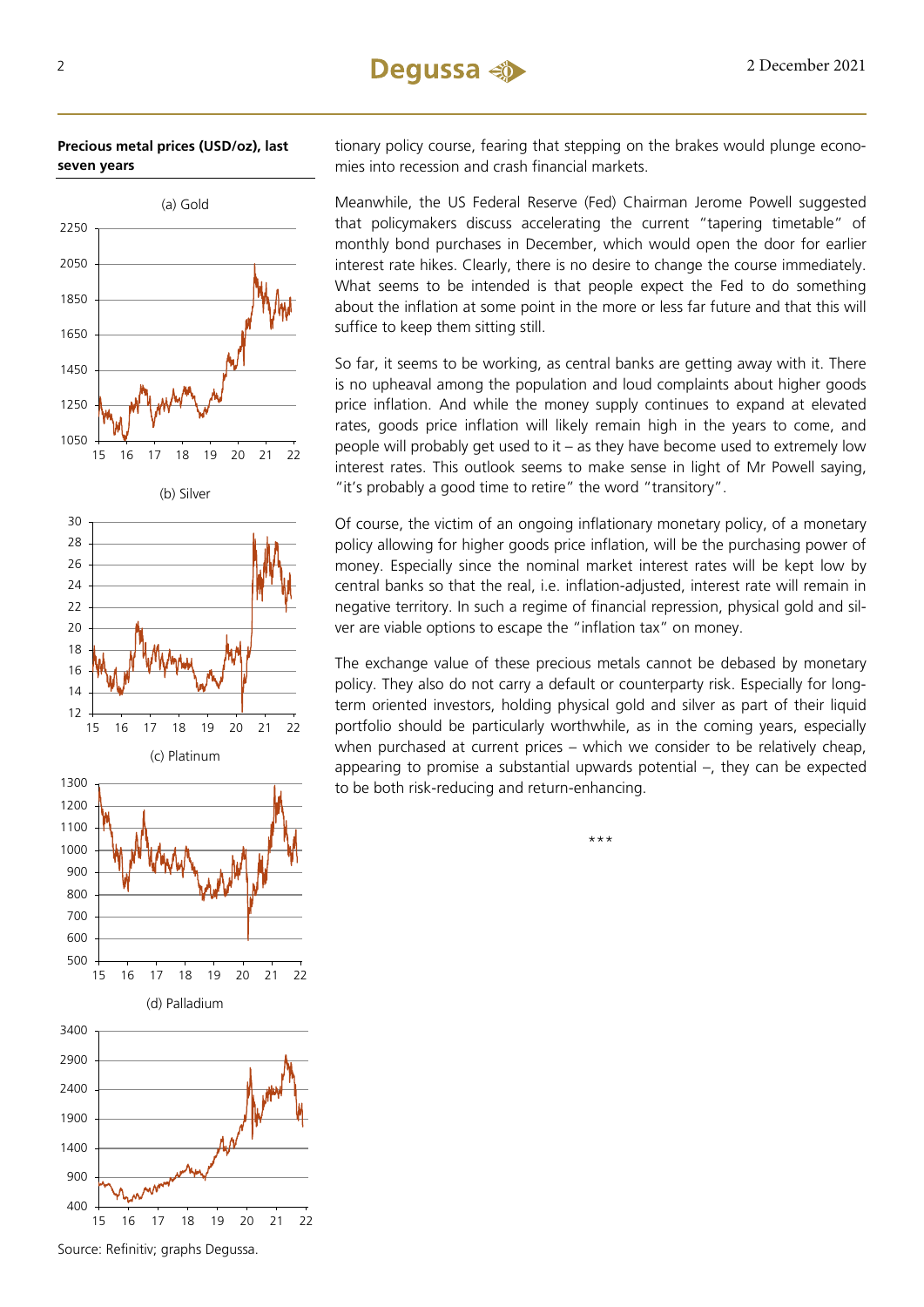



tionary policy course, fearing that stepping on the brakes would plunge economies into recession and crash financial markets.

Meanwhile, the US Federal Reserve (Fed) Chairman Jerome Powell suggested that policymakers discuss accelerating the current "tapering timetable" of monthly bond purchases in December, which would open the door for earlier interest rate hikes. Clearly, there is no desire to change the course immediately. What seems to be intended is that people expect the Fed to do something about the inflation at some point in the more or less far future and that this will suffice to keep them sitting still.

So far, it seems to be working, as central banks are getting away with it. There is no upheaval among the population and loud complaints about higher goods price inflation. And while the money supply continues to expand at elevated rates, goods price inflation will likely remain high in the years to come, and people will probably get used to it – as they have become used to extremely low interest rates. This outlook seems to make sense in light of Mr Powell saying, "it's probably a good time to retire" the word "transitory".

Of course, the victim of an ongoing inflationary monetary policy, of a monetary policy allowing for higher goods price inflation, will be the purchasing power of money. Especially since the nominal market interest rates will be kept low by central banks so that the real, i.e. inflation-adjusted, interest rate will remain in negative territory. In such a regime of financial repression, physical gold and silver are viable options to escape the "inflation tax" on money.

The exchange value of these precious metals cannot be debased by monetary policy. They also do not carry a default or counterparty risk. Especially for longterm oriented investors, holding physical gold and silver as part of their liquid portfolio should be particularly worthwhile, as in the coming years, especially when purchased at current prices – which we consider to be relatively cheap, appearing to promise a substantial upwards potential –, they can be expected to be both risk-reducing and return-enhancing.

\*\*\*

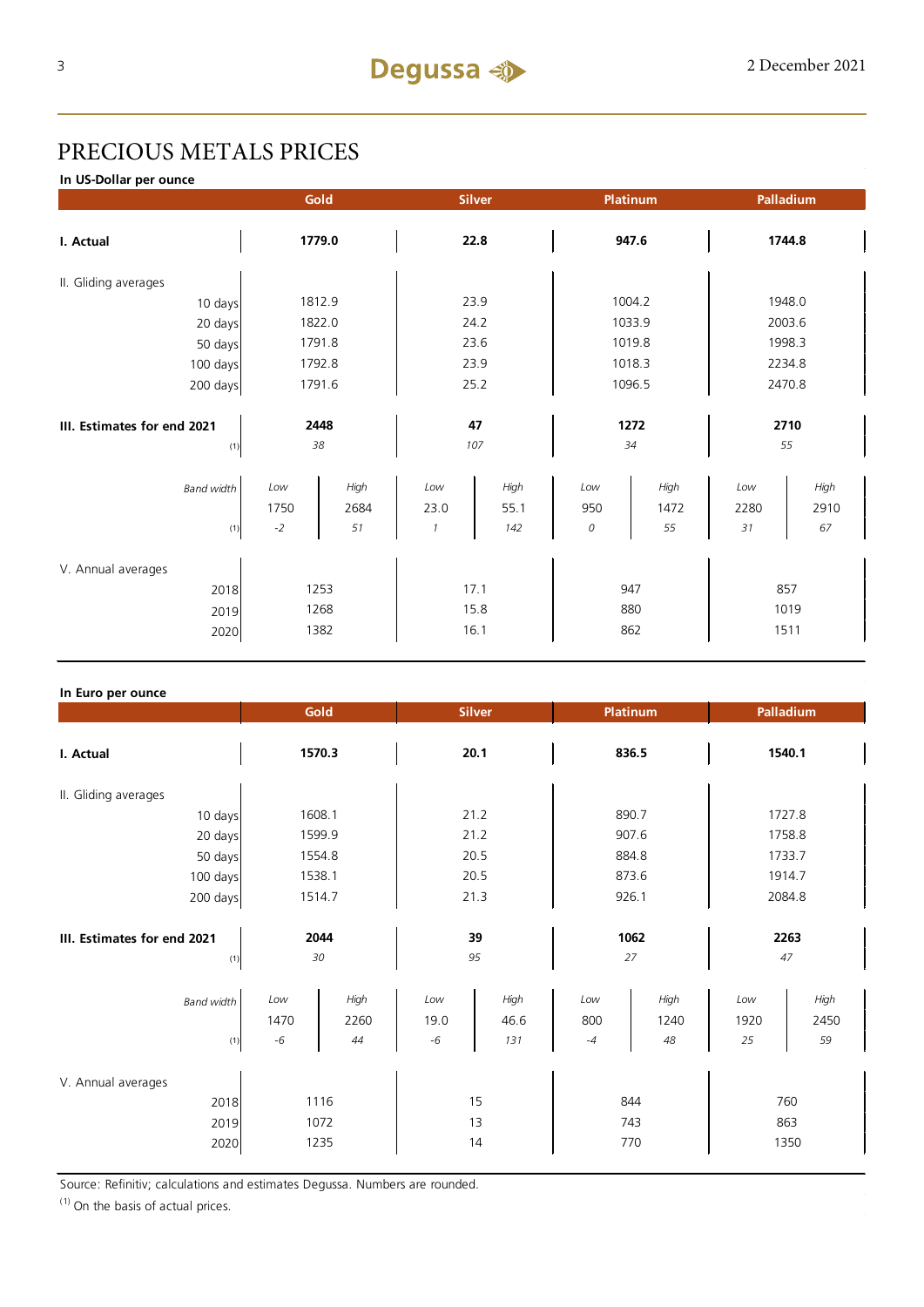## PRECIOUS METALS PRICES

**In US-Dollar per ounce**

|                                            |                                  | Gold<br>Platinum<br><b>Silver</b> |                              | Palladium            |                 |                    |                   |                     |  |
|--------------------------------------------|----------------------------------|-----------------------------------|------------------------------|----------------------|-----------------|--------------------|-------------------|---------------------|--|
| I. Actual                                  | 1779.0                           |                                   | 22.8                         |                      | 947.6           |                    | 1744.8            |                     |  |
| II. Gliding averages                       |                                  |                                   |                              |                      |                 |                    |                   |                     |  |
| 10 days                                    |                                  | 1812.9                            | 23.9                         |                      | 1004.2          |                    | 1948.0            |                     |  |
| 20 days                                    |                                  | 1822.0                            | 24.2                         |                      | 1033.9          |                    | 2003.6            |                     |  |
| 50 days                                    |                                  | 1791.8                            |                              | 23.6                 |                 | 1019.8             |                   | 1998.3              |  |
| 100 days                                   |                                  | 1792.8                            |                              | 23.9                 |                 | 1018.3             |                   | 2234.8              |  |
| 200 days                                   | 1791.6                           |                                   | 25.2                         |                      | 1096.5          |                    | 2470.8            |                     |  |
|                                            |                                  |                                   |                              |                      |                 |                    |                   |                     |  |
| III. Estimates for end 2021                | 2448                             |                                   | 47                           |                      | 1272            |                    | 2710              |                     |  |
| (1)                                        | 38                               |                                   | 107                          |                      | 34              |                    | 55                |                     |  |
| <b>Band width</b><br>(1)                   | Low<br>1750<br>$\textnormal{-}2$ | High<br>2684<br>51                | Low<br>23.0<br>$\mathcal{I}$ | High<br>55.1<br>142  | Low<br>950<br>0 | High<br>1472<br>55 | Low<br>2280<br>31 | High<br>2910<br>67  |  |
| V. Annual averages<br>2018<br>2019<br>2020 |                                  | 1253<br>1268<br>1382              |                              | 17.1<br>15.8<br>16.1 | 947<br>862      | 880                |                   | 857<br>1019<br>1511 |  |

#### **In Euro per ounce**

|                                            |                     | Gold<br><b>Silver</b><br>Platinum |                          |                     | Palladium          |                    |                   |                    |
|--------------------------------------------|---------------------|-----------------------------------|--------------------------|---------------------|--------------------|--------------------|-------------------|--------------------|
| I. Actual                                  | 1570.3              |                                   | 20.1                     |                     | 836.5              |                    | 1540.1            |                    |
| II. Gliding averages                       |                     |                                   |                          |                     |                    |                    |                   |                    |
| 10 days                                    | 1608.1              |                                   | 21.2                     |                     | 890.7              |                    | 1727.8            |                    |
| 20 days                                    | 1599.9              |                                   | 21.2                     |                     | 907.6              |                    | 1758.8            |                    |
| 50 days                                    | 1554.8              |                                   | 20.5                     |                     | 884.8              |                    | 1733.7            |                    |
| 100 days                                   | 1538.1              |                                   | 20.5                     |                     | 873.6              |                    | 1914.7            |                    |
| 200 days                                   | 1514.7              |                                   | 21.3                     |                     | 926.1              |                    | 2084.8            |                    |
| III. Estimates for end 2021<br>(1)         | 2044<br>30          |                                   | 39<br>95                 |                     | 1062<br>27         |                    | 2263<br>47        |                    |
| <b>Band width</b><br>(1)                   | Low<br>1470<br>$-6$ | High<br>2260<br>44                | $_{Low}$<br>19.0<br>$-6$ | High<br>46.6<br>131 | Low<br>800<br>$-4$ | High<br>1240<br>48 | Low<br>1920<br>25 | High<br>2450<br>59 |
| V. Annual averages<br>2018<br>2019<br>2020 |                     | 1116<br>1072<br>1235              |                          | 15<br>13<br>14      |                    | 844<br>743<br>770  | 863               | 760<br>1350        |

Source: Refinitiv; calculations and estimates Degussa. Numbers are rounded.

 $(1)$  On the basis of actual prices.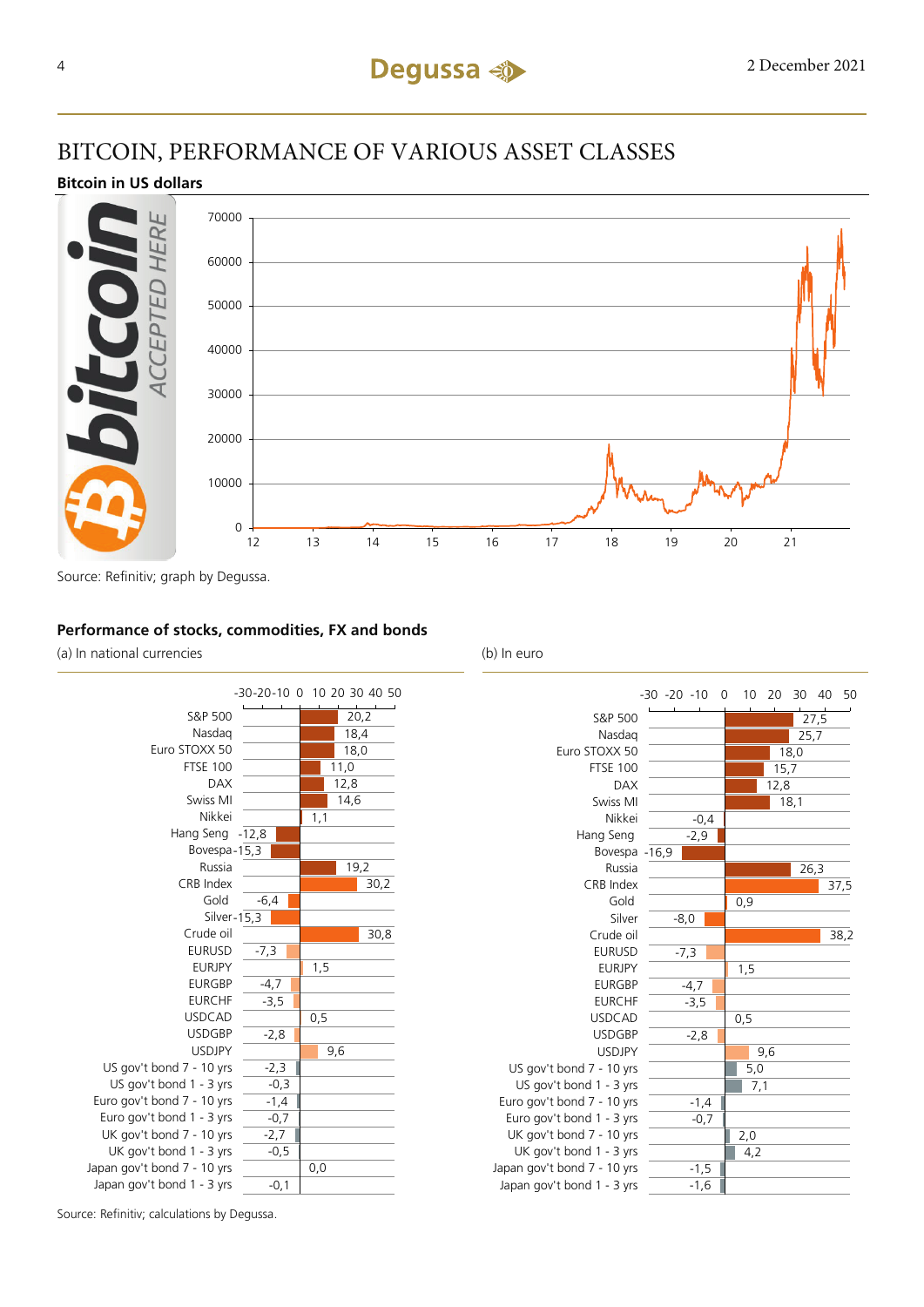## BITCOIN, PERFORMANCE OF VARIOUS ASSET CLASSES

#### **Bitcoin in US dollars**



Source: Refinitiv; graph by Degussa.

#### **Performance of stocks, commodities, FX and bonds**

(a) In national currencies (b) In euro





Source: Refinitiv; calculations by Degussa.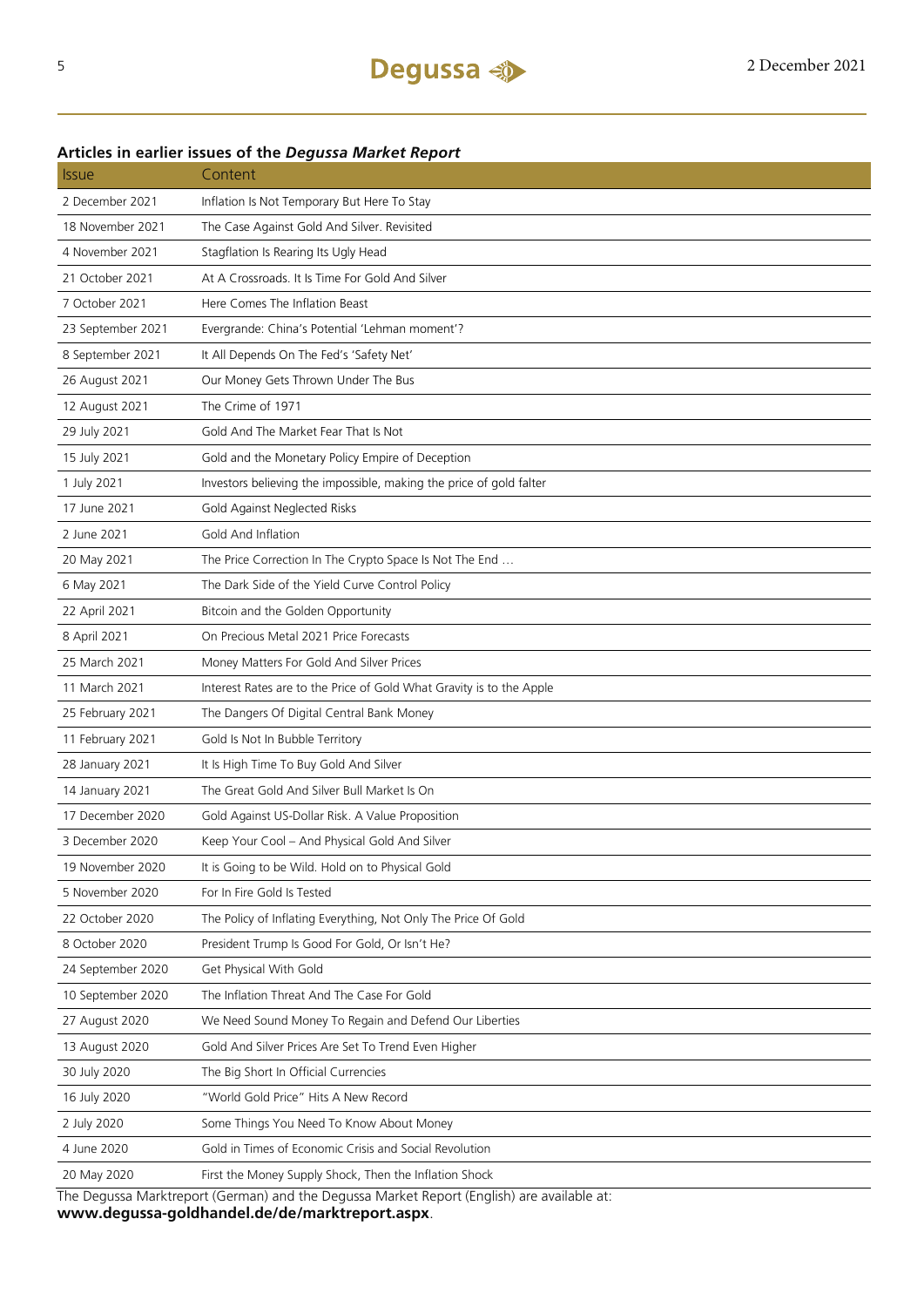## Issue Content 2 December 2021 Inflation Is Not Temporary But Here To Stay 18 November 2021 The Case Against Gold And Silver. Revisited 4 November 2021 Stagflation Is Rearing Its Ugly Head 21 October 2021 At A Crossroads. It Is Time For Gold And Silver 7 October 2021 Here Comes The Inflation Beast 23 September 2021 Evergrande: China's Potential 'Lehman moment'? 8 September 2021 It All Depends On The Fed's 'Safety Net' 26 August 2021 Our Money Gets Thrown Under The Bus 12 August 2021 The Crime of 1971 29 July 2021 Gold And The Market Fear That Is Not 15 July 2021 Gold and the Monetary Policy Empire of Deception 1 July 2021 Investors believing the impossible, making the price of gold falter 17 June 2021 Gold Against Neglected Risks 2 June 2021 Gold And Inflation 20 May 2021 The Price Correction In The Crypto Space Is Not The End ... 6 May 2021 The Dark Side of the Yield Curve Control Policy 22 April 2021 Bitcoin and the Golden Opportunity 8 April 2021 On Precious Metal 2021 Price Forecasts 25 March 2021 Money Matters For Gold And Silver Prices 11 March 2021 Interest Rates are to the Price of Gold What Gravity is to the Apple 25 February 2021 The Dangers Of Digital Central Bank Money 11 February 2021 Gold Is Not In Bubble Territory 28 January 2021 It Is High Time To Buy Gold And Silver 14 January 2021 The Great Gold And Silver Bull Market Is On 17 December 2020 Gold Against US-Dollar Risk. A Value Proposition 3 December 2020 Keep Your Cool – And Physical Gold And Silver 19 November 2020 It is Going to be Wild. Hold on to Physical Gold 5 November 2020 For In Fire Gold Is Tested 22 October 2020 The Policy of Inflating Everything, Not Only The Price Of Gold 8 October 2020 President Trump Is Good For Gold, Or Isn't He? 24 September 2020 Get Physical With Gold 10 September 2020 The Inflation Threat And The Case For Gold 27 August 2020 We Need Sound Money To Regain and Defend Our Liberties 13 August 2020 Gold And Silver Prices Are Set To Trend Even Higher 30 July 2020 The Big Short In Official Currencies 16 July 2020 "World Gold Price" Hits A New Record 2 July 2020 Some Things You Need To Know About Money 4 June 2020 Gold in Times of Economic Crisis and Social Revolution 20 May 2020 First the Money Supply Shock, Then the Inflation Shock The Degussa Marktreport (German) and the Degussa Market Report (English) are available at:

#### **Articles in earlier issues of the** *Degussa Market Report*

**www.degussa-goldhandel.de/de/marktreport.aspx**.